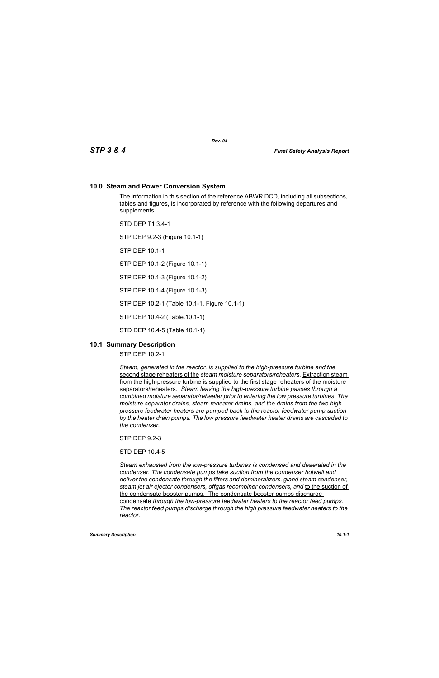## **10.0 Steam and Power Conversion System**

The information in this section of the reference ABWR DCD, including all subsections, tables and figures, is incorporated by reference with the following departures and supplements.

STD DEP T1 3.4-1

STP DEP 9.2-3 (Figure 10.1-1)

STP DEP 10.1-1

STP DEP 10.1-2 (Figure 10.1-1)

STP DEP 10.1-3 (Figure 10.1-2)

STP DEP 10.1-4 (Figure 10.1-3)

STP DEP 10.2-1 (Table 10.1-1, Figure 10.1-1)

STP DEP 10.4-2 (Table.10.1-1)

STD DEP 10.4-5 (Table 10.1-1)

## **10.1 Summary Description**

STP DEP 10.2-1

*Steam, generated in the reactor, is supplied to the high-pressure turbine and the*  second stage reheaters of the *steam moisture separators/reheaters.* Extraction steam from the high-pressure turbine is supplied to the first stage reheaters of the moisture separators/reheaters. *Steam leaving the high-pressure turbine passes through a combined moisture separator/reheater prior to entering the low pressure turbines. The moisture separator drains, steam reheater drains, and the drains from the two high pressure feedwater heaters are pumped back to the reactor feedwater pump suction by the heater drain pumps. The low pressure feedwater heater drains are cascaded to the condenser.*

STP DEP 9.2-3

STD DEP 10.4-5

*Steam exhausted from the low-pressure turbines is condensed and deaerated in the condenser. The condensate pumps take suction from the condenser hotwell and deliver the condensate through the filters and demineralizers, gland steam condenser, steam jet air ejector condensers, offgas recombiner condensers, and* to the suction of the condensate booster pumps. The condensate booster pumps discharge condensate *through the low-pressure feedwater heaters to the reactor feed pumps. The reactor feed pumps discharge through the high pressure feedwater heaters to the reactor.*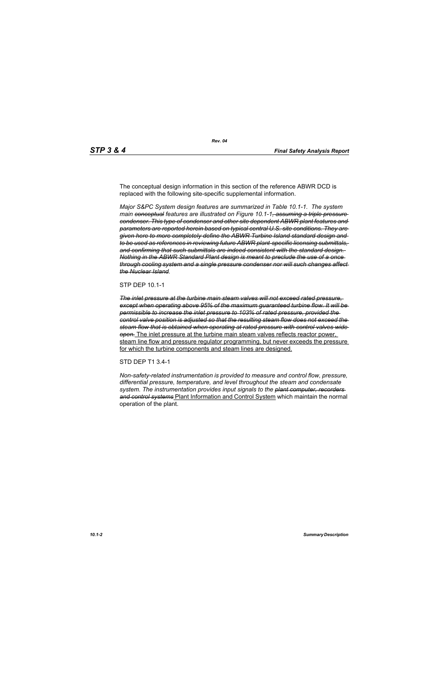The conceptual design information in this section of the reference ABWR DCD is replaced with the following site-specific supplemental information.

*Major S&PC System design features are summarized in Table 10.1-1. The system main conceptual features are illustrated on Figure 10.1-1, assuming a triple pressure condenser. This type of condenser and other site dependent ABWR plant features and parameters are reported herein based on typical central U.S. site conditions. They are given here to more completely define the ABWR Turbine Island standard design and to be used as references in reviewing future ABWR plant-specific licensing submittals, and confirming that such submittals are indeed consistent with the standard design. Nothing in the ABWR Standard Plant design is meant to preclude the use of a once through cooling system and a single pressure condenser nor will such changes affect the Nuclear Island.*

#### STP DEP 10.1-1

*The inlet pressure at the turbine main steam valves will not exceed rated pressure, except when operating above 95% of the maximum guaranteed turbine flow. It will be permissible to increase the inlet pressure to 103% of rated pressure, provided the control valve position is adjusted so that the resulting steam flow does not exceed the steam flow that is obtained when operating at rated pressure with control valves wide open.* The inlet pressure at the turbine main steam valves reflects reactor power, steam line flow and pressure regulator programming, but never exceeds the pressure for which the turbine components and steam lines are designed.

#### STD DEP T1 3.4-1

*Non-safety-related instrumentation is provided to measure and control flow, pressure, differential pressure, temperature, and level throughout the steam and condensate system. The instrumentation provides input signals to the plant computer, recorders and control systems* Plant Information and Control System which maintain the normal operation of the plant.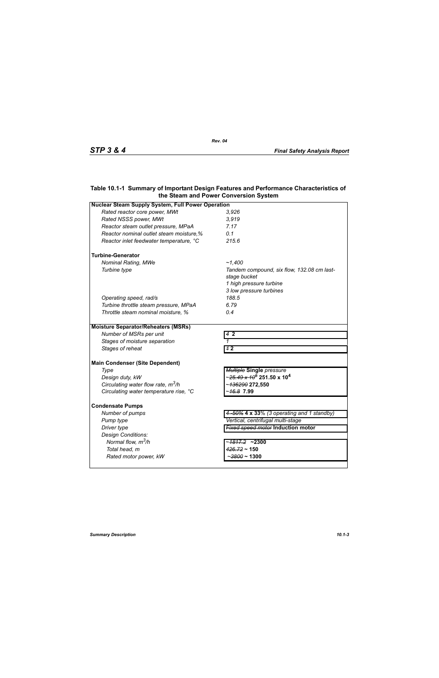# **Table 10.1-1 Summary of Important Design Features and Performance Characteristics of the Steam and Power Conversion System**

| <b>Nuclear Steam Supply System, Full Power Operation</b> |                                                              |  |
|----------------------------------------------------------|--------------------------------------------------------------|--|
| Rated reactor core power, MWt                            | 3,926                                                        |  |
| Rated NSSS power, MWt                                    | 3,919                                                        |  |
| Reactor steam outlet pressure, MPaA                      | 7.17                                                         |  |
| Reactor nominal outlet steam moisture,%                  | 0.1                                                          |  |
| Reactor inlet feedwater temperature, °C                  | 215.6                                                        |  |
| <b>Turbine-Generator</b>                                 |                                                              |  |
| <b>Nominal Rating, MWe</b>                               | ~1.400                                                       |  |
| Turbine type                                             | Tandem compound, six flow, 132.08 cm last-<br>stage bucket   |  |
|                                                          | 1 high pressure turbine                                      |  |
|                                                          | 3 low pressure turbines                                      |  |
| Operating speed, rad/s                                   | 188.5                                                        |  |
| Turbine throttle steam pressure, MPaA                    | 6.79                                                         |  |
| Throttle steam nominal moisture, %                       | 0.4                                                          |  |
| <b>Moisture Separator/Reheaters (MSRs)</b>               |                                                              |  |
| Number of MSRs per unit                                  | $42$                                                         |  |
| Stages of moisture separation                            |                                                              |  |
| Stages of reheat                                         | 12                                                           |  |
| <b>Main Condenser (Site Dependent)</b>                   |                                                              |  |
| Type                                                     | <b>Multiple Single pressure</b>                              |  |
| Design duty, kW                                          | ~ <del>25.49 x 10<sup>5</sup></del> 251.50 x 10 <sup>4</sup> |  |
| Circulating water flow rate, $m^3/h$                     | ~136290 272,550                                              |  |
| Circulating water temperature rise, °C                   | - <del>16.8</del> 7.99                                       |  |
| <b>Condensate Pumps</b>                                  |                                                              |  |
| Number of pumps                                          | 4-50% 4 x 33% (3 operating and 1 standby)                    |  |
| Pump type                                                | Vertical, centrifugal multi-stage                            |  |
| Driver type                                              | <b>Fixed speed motor Induction motor</b>                     |  |
| Design Conditions:                                       |                                                              |  |
| Normal flow, $m^3/h$                                     | ~ <del>1817.2</del> ~2300                                    |  |
| Total head, m                                            | $426.72 \sim 150$                                            |  |
| Rated motor power, kW                                    | - <del>3800</del> ~ 1300                                     |  |
|                                                          |                                                              |  |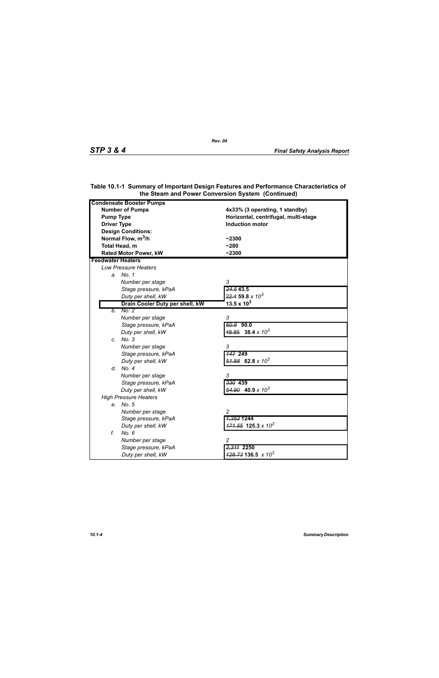| <b>Condensate Booster Pumps</b>                             |                                                                        |
|-------------------------------------------------------------|------------------------------------------------------------------------|
| <b>Number of Pumps</b>                                      |                                                                        |
| <b>Pump Type</b>                                            | 4x33% (3 operating, 1 standby)<br>Horizontal, centrifugal, multi-stage |
| <b>Driver Type</b>                                          | <b>Induction motor</b>                                                 |
|                                                             |                                                                        |
| <b>Design Conditions:</b><br>Normal Flow, m <sup>3</sup> /h |                                                                        |
|                                                             | $-2300$                                                                |
| Total Head, m                                               | $-280$                                                                 |
| <b>Rated Motor Power, kW</b>                                | $-2300$                                                                |
| <b>Feedwater Heaters</b>                                    |                                                                        |
| <b>Low Pressure Heaters</b>                                 |                                                                        |
| a. No. 1                                                    |                                                                        |
| Number per stage                                            | 3                                                                      |
| Stage pressure, kPaA                                        | 24.543.5                                                               |
| Duty per shell, kW                                          | $22.4$ 59.8 x $10^3$                                                   |
| Drain Cooler Duty per shell, kW                             | 13.5 x $10^3$                                                          |
| No. 2<br>b.                                                 |                                                                        |
| Number per stage                                            | 3                                                                      |
| Stage pressure, kPaA                                        | $60.8$ 90.0                                                            |
| Duty per shell, kW                                          | $48.85$ 38.4 x 10 <sup>3</sup>                                         |
| c. No. 3                                                    |                                                                        |
| Number per stage                                            | 3                                                                      |
| Stage pressure, kPaA                                        | <b>147 249</b>                                                         |
| Duty per shell, kW                                          | $\frac{51.88}{2}$ 62.8 x 10 <sup>3</sup>                               |
| d. No. 4                                                    |                                                                        |
| Number per stage                                            | 3                                                                      |
| Stage pressure, kPaA                                        | 330 439                                                                |
| Duty per shell, kW                                          | $\frac{54.90}{2}$ 40.9 x 10 <sup>3</sup>                               |
| <b>High Pressure Heaters</b>                                |                                                                        |
| e. No. 5                                                    |                                                                        |
| Number per stage                                            | $\overline{c}$                                                         |
| Stage pressure, kPaA                                        | <del>1,353</del> 1244                                                  |
| Duty per shell, kW                                          | $171.55$ 125.3 x 10 <sup>3</sup>                                       |
| f.<br>No. 6                                                 |                                                                        |
| Number per stage                                            | 2                                                                      |
| Stage pressure, kPaA                                        | 2,311 2250                                                             |
| Duty per shell, kW                                          | $\frac{428.73}{136.5}$ x 10 <sup>3</sup>                               |

## **Table 10.1-1 Summary of Important Design Features and Performance Characteristics of the Steam and Power Conversion System (Continued)**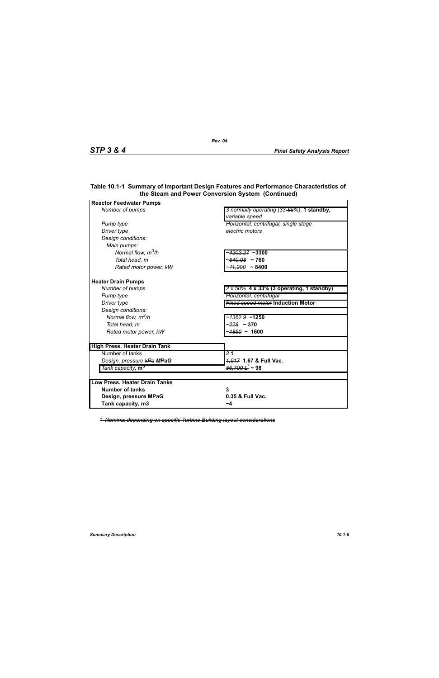| <b>Reactor Feedwater Pumps</b>       |                                                             |
|--------------------------------------|-------------------------------------------------------------|
| Number of pumps                      | 3 normally operating (33-65%), 1 standby,<br>variable speed |
| Pump type                            | Horizontal, centrifugal, single stage                       |
| Driver type                          | electric motors                                             |
| Design conditions:                   |                                                             |
| Main pumps:                          |                                                             |
| Normal flow, $m^3/h$                 | ~ <del>4202.27</del> ~3300                                  |
| Total head, m                        | $~100.08$ ~ 760                                             |
| Rated motor power, kW                | $-41,200 - 8400$                                            |
| <b>Heater Drain Pumps</b>            |                                                             |
| Number of pumps                      | $2 \times 50\%$ 4 x 33% (3 operating, 1 standby)            |
| Pump type                            | Horizontal, centrifugal                                     |
| Driver type                          | <b>Fixed speed motor Induction Motor</b>                    |
| Design conditions:                   |                                                             |
| Normal flow, $m^3/h$                 | ~ <del>1362.9</del> ~1250                                   |
| Total head, m                        | ~ <del>228</del> ~ 370                                      |
| Rated motor power, kW                | ~ <del>1850</del> ~ 1600                                    |
| <b>High Press. Heater Drain Tank</b> |                                                             |
| Number of tanks                      | $\overline{21}$                                             |
| Design, pressure kPa MPaG            | 4,547 1.67 & Full Vac.                                      |
| Tank capacity, m <sup>3</sup>        | <del>56,700 L</del> ~ 98                                    |
|                                      |                                                             |
| <b>Low Press, Heater Drain Tanks</b> |                                                             |
| <b>Number of tanks</b>               | 3                                                           |
| Design, pressure MPaG                | 0.35 & Full Vac.                                            |
| Tank capacity, m3                    | ~4                                                          |

### **Table 10.1-1 Summary of Important Design Features and Performance Characteristics of the Steam and Power Conversion System (Continued)**

*\* Nominal depending on specific Turbine Building layout considerations*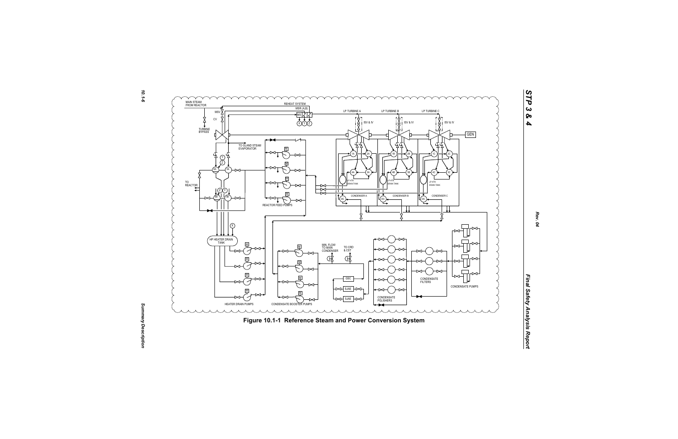